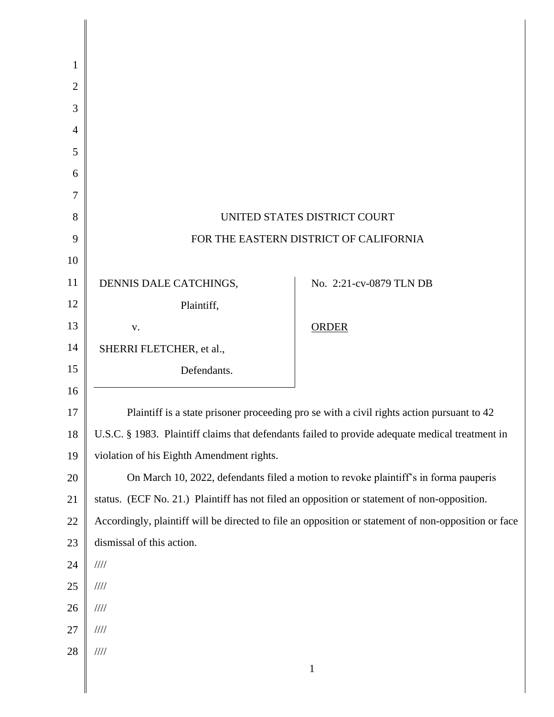| 1              |                                                                                                 |                                                                                                      |
|----------------|-------------------------------------------------------------------------------------------------|------------------------------------------------------------------------------------------------------|
| $\overline{2}$ |                                                                                                 |                                                                                                      |
| 3              |                                                                                                 |                                                                                                      |
| $\overline{4}$ |                                                                                                 |                                                                                                      |
| 5              |                                                                                                 |                                                                                                      |
| 6              |                                                                                                 |                                                                                                      |
| 7              |                                                                                                 |                                                                                                      |
| 8              | UNITED STATES DISTRICT COURT                                                                    |                                                                                                      |
| 9              | FOR THE EASTERN DISTRICT OF CALIFORNIA                                                          |                                                                                                      |
| 10             |                                                                                                 |                                                                                                      |
| 11             | DENNIS DALE CATCHINGS,                                                                          | No. 2:21-cv-0879 TLN DB                                                                              |
| 12             | Plaintiff,                                                                                      |                                                                                                      |
| 13             | V.                                                                                              | <b>ORDER</b>                                                                                         |
| 14             | SHERRI FLETCHER, et al.,                                                                        |                                                                                                      |
| 15             | Defendants.                                                                                     |                                                                                                      |
| 16             |                                                                                                 |                                                                                                      |
| 17             | Plaintiff is a state prisoner proceeding pro se with a civil rights action pursuant to 42       |                                                                                                      |
| 18             | U.S.C. § 1983. Plaintiff claims that defendants failed to provide adequate medical treatment in |                                                                                                      |
| 19             | violation of his Eighth Amendment rights.                                                       |                                                                                                      |
| 20             | On March 10, 2022, defendants filed a motion to revoke plaintiff's in forma pauperis            |                                                                                                      |
| 21             | status. (ECF No. 21.) Plaintiff has not filed an opposition or statement of non-opposition.     |                                                                                                      |
| 22             |                                                                                                 | Accordingly, plaintiff will be directed to file an opposition or statement of non-opposition or face |
| 23             | dismissal of this action.                                                                       |                                                                                                      |
| 24             | $\mathcal{U}\mathcal{U}$                                                                        |                                                                                                      |
| 25             | $\frac{1}{1}$                                                                                   |                                                                                                      |
| 26             | $\mathcal{U}\mathcal{U}$                                                                        |                                                                                                      |
| 27             | $\mathcal{U}\mathcal{U}$                                                                        |                                                                                                      |
| 28             | $\mathcal{U}\mathcal{U}$                                                                        | $\mathbf{1}$                                                                                         |
|                |                                                                                                 |                                                                                                      |